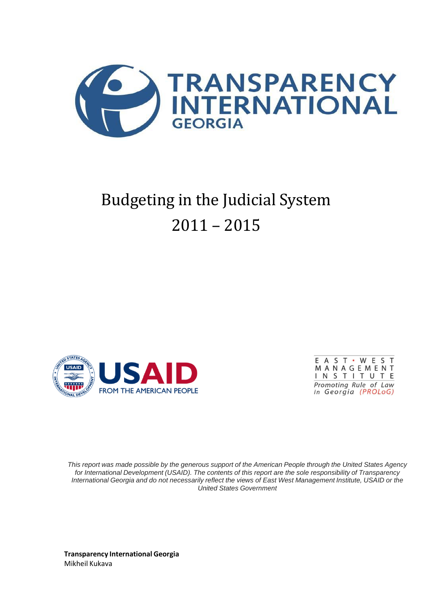

# Budgeting in the Judicial System  $2011 - 2015$





This report was made possible by the generous support of the American People through the United States Agency *for International Development (USAID). The contents of this report are the sole responsibility of Transparency*  International Georgia and do not necessarily reflect the views of East West Management Institute, USAID or the *United States Government*

**Transparency International Georgia** Mikheil Kukava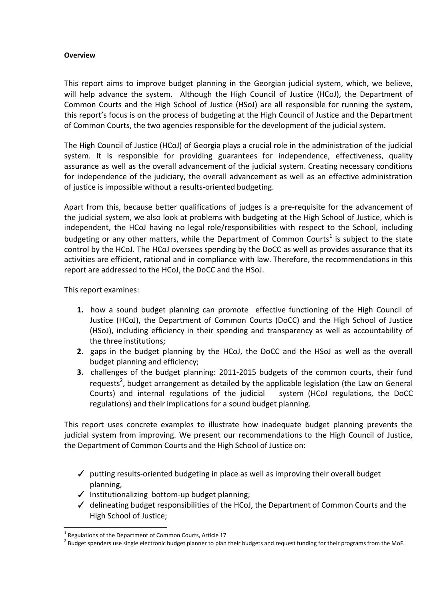#### **Overview**

This report aims to improve budget planning in the Georgian judicial system, which, we believe, will help advance the system. Although the High Council of Justice (HCoJ), the Department of Common Courts and the High School of Justice (HSoJ) are all responsible for running the system, this report's focus is on the process of budgeting at the High Council of Justice and the Department of Common Courts, the two agencies responsible for the development of the judicial system.

The High Council of Justice (HCoJ) of Georgia plays a crucial role in the administration of the judicial system. It is responsible for providing guarantees for independence, effectiveness, quality assurance as well as the overall advancement of the judicial system. Creating necessary conditions for independence of the judiciary, the overall advancement as well as an effective administration of justice is impossible without a results-oriented budgeting.

Apart from this, because better qualifications of judges is a pre-requisite for the advancement of the judicial system, we also look at problems with budgeting at the High School of Justice, which is independent, the HCoJ having no legal role/responsibilities with respect to the School, including budgeting or any other matters, while the Department of Common Courts<sup>1</sup> is subject to the state control by the HCoJ. The HCoJ oversees spending by the DoCC as well as provides assurance that its activities are efficient, rational and in compliance with law. Therefore, the recommendations in this report are addressed to the HCoJ, the DoCC and the HSoJ.

This report examines:

- **1.** how a sound budget planning can promote effective functioning of the High Council of Justice (HCoJ), the Department of Common Courts (DoCC) and the High School of Justice (HSoJ), including efficiency in their spending and transparency as well as accountability of the three institutions;
- **2.** gaps in the budget planning by the HCoJ, the DoCC and the HSoJ as well as the overall budget planning and efficiency;
- **3.** challenges of the budget planning: 2011-2015 budgets of the common courts, their fund requests<sup>2</sup>, budget arrangement as detailed by the applicable legislation (the Law on General Courts) and internal regulations of the judicial system (HCoJ regulations, the DoCC regulations) and their implications for a sound budget planning.

This report uses concrete examples to illustrate how inadequate budget planning prevents the judicial system from improving. We present our recommendations to the High Council of Justice, the Department of Common Courts and the High School of Justice on:

- $\checkmark$  putting results-oriented budgeting in place as well as improving their overall budget planning,
- ✓ Institutionalizing bottom-up budget planning;
- $\checkmark$  delineating budget responsibilities of the HCoJ, the Department of Common Courts and the High School of Justice;

<sup>&</sup>lt;sup>1</sup> Regulations of the Department of Common Courts, Article 17

 $^2$  Budget spenders use single electronic budget planner to plan their budgets and request funding for their programs from the MoF.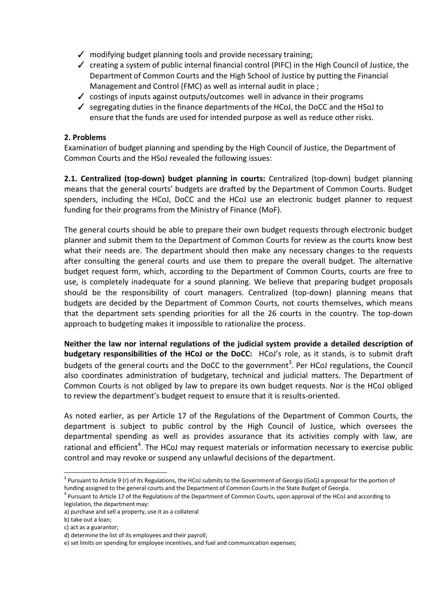- $\sqrt{ }$  modifying budget planning tools and provide necessary training;
- $\checkmark$  creating a system of public internal financial control (PIFC) in the High Council of Justice, the Department of Common Courts and the High School of Justice by putting the Financial Management and Control (FMC) as well as internal audit in place ;
- $\checkmark$  costings of inputs against outputs/outcomes well in advance in their programs
- $\checkmark$  segregating duties in the finance departments of the HCoJ, the DoCC and the HSoJ to ensure that the funds are used for intended purpose as well as reduce other risks.

# **2. Problems**

Examination of budget planning and spending by the High Council of Justice, the Department of Common Courts and the HSoJ revealed the following issues:

**2.1. Centralized (top-down) budget planning in courts:** Centralized (top-down) budget planning means that the general courts' budgets are drafted by the Department of Common Courts. Budget spenders, including the HCoJ, DoCC and the HCoJ use an electronic budget planner to request funding for their programs from the Ministry of Finance (MoF).

The general courts should be able to prepare their own budget requests through electronic budget planner and submit them to the Department of Common Courts for review as the courts know best what their needs are. The department should then make any necessary changes to the requests after consulting the general courts and use them to prepare the overall budget. The alternative budget request form, which, according to the Department of Common Courts, courts are free to use, is completely inadequate for a sound planning. We believe that preparing budget proposals should be the responsibility of court managers. Centralized (top-down) planning means that budgets are decided by the Department of Common Courts, not courts themselves, which means that the department sets spending priorities for all the 26 courts in the country. The top-down approach to budgeting makes it impossible to rationalize the process.

**Neither the law nor internal regulations of the judicial system provide a detailed description of budgetary responsibilities of the HCoJ or the DoCC:** HCoJ's role, as it stands, is to submit draft budgets of the general courts and the DoCC to the government<sup>3</sup>. Per HCoJ regulations, the Council also coordinates administration of budgetary, technical and judicial matters. The Department of Common Courts is not obliged by law to prepare its own budget requests. Nor is the HCoJ obliged to review the department's budget request to ensure that it is results-oriented.

As noted earlier, as per Article 17 of the Regulations of the Department of Common Courts, the department is subject to public control by the High Council of Justice, which oversees the departmental spending as well as provides assurance that its activities comply with law, are rational and efficient<sup>4</sup>. The HCoJ may request materials or information necessary to exercise public control and may revoke or suspend any unlawful decisions of the department.

<sup>&</sup>lt;sup>3</sup> Pursuant to Article 9 (r) of its Regulations, the HCoJ submits to the Government of Georgia (GoG) a proposal for the portion of funding assigned to the general courts and the Department of Common Courts in the State Budget of Georgia.

<sup>&</sup>lt;sup>4</sup> Pursuant to Article 17 of the Regulations of the Department of Common Courts, upon approval of the HCoJ and according to legislation, the department may:

a) purchase and sell a property, use it as a collateral

b) take out a loan;

c) act as a guarantor;

d) determine the list of its employees and their payroll;

e) set limits on spending for employee incentives, and fuel and communication expenses;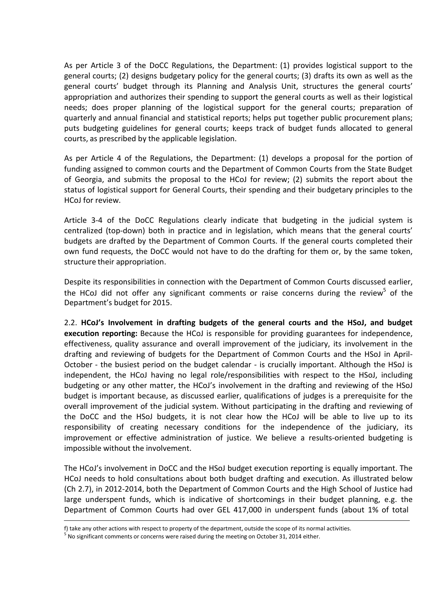As per Article 3 of the DoCC Regulations, the Department: (1) provides logistical support to the general courts; (2) designs budgetary policy for the general courts; (3) drafts its own as well as the general courts' budget through its Planning and Analysis Unit, structures the general courts' appropriation and authorizes their spending to support the general courts as well as their logistical needs; does proper planning of the logistical support for the general courts; preparation of quarterly and annual financial and statistical reports; helps put together public procurement plans; puts budgeting guidelines for general courts; keeps track of budget funds allocated to general courts, as prescribed by the applicable legislation.

As per Article 4 of the Regulations, the Department: (1) develops a proposal for the portion of funding assigned to common courts and the Department of Common Courts from the State Budget of Georgia, and submits the proposal to the HCoJ for review; (2) submits the report about the status of logistical support for General Courts, their spending and their budgetary principles to the HCoJ for review.

Article 3-4 of the DoCC Regulations clearly indicate that budgeting in the judicial system is centralized (top-down) both in practice and in legislation, which means that the general courts' budgets are drafted by the Department of Common Courts. If the general courts completed their own fund requests, the DoCC would not have to do the drafting for them or, by the same token, structure their appropriation.

Despite its responsibilities in connection with the Department of Common Courts discussed earlier, the HCoJ did not offer any significant comments or raise concerns during the review<sup>5</sup> of the Department's budget for 2015.

2.2. **HCoJ's Involvement in drafting budgets of the general courts and the HSoJ, and budget execution reporting:** Because the HCoJ is responsible for providing guarantees for independence, effectiveness, quality assurance and overall improvement of the judiciary, its involvement in the drafting and reviewing of budgets for the Department of Common Courts and the HSoJ in April-October - the busiest period on the budget calendar - is crucially important. Although the HSoJ is independent, the HCoJ having no legal role/responsibilities with respect to the HSoJ, including budgeting or any other matter, the HCoJ's involvement in the drafting and reviewing of the HSoJ budget is important because, as discussed earlier, qualifications of judges is a prerequisite for the overall improvement of the judicial system. Without participating in the drafting and reviewing of the DoCC and the HSoJ budgets, it is not clear how the HCoJ will be able to live up to its responsibility of creating necessary conditions for the independence of the judiciary, its improvement or effective administration of justice. We believe a results-oriented budgeting is impossible without the involvement.

The HCoJ's involvement in DoCC and the HSoJ budget execution reporting is equally important. The HCoJ needs to hold consultations about both budget drafting and execution. As illustrated below (Ch 2.7), in 2012-2014, both the Department of Common Courts and the High School of Justice had large underspent funds, which is indicative of shortcomings in their budget planning, e.g. the Department of Common Courts had over GEL 417,000 in underspent funds (about 1% of total

f) take any other actions with respect to property of the department, outside the scope of its normal activities.

<sup>&</sup>lt;sup>5</sup> No significant comments or concerns were raised during the meeting on October 31, 2014 either.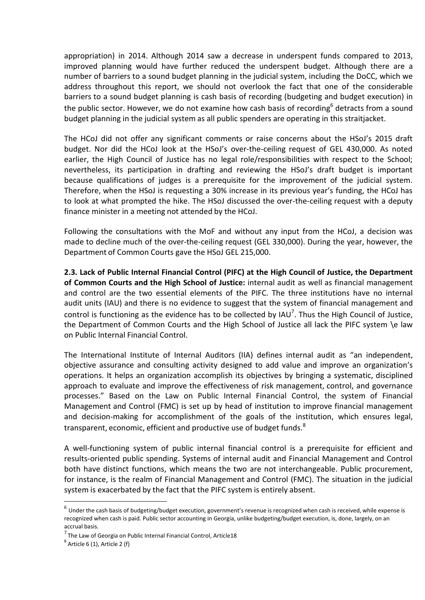appropriation) in 2014. Although 2014 saw a decrease in underspent funds compared to 2013, improved planning would have further reduced the underspent budget. Although there are a number of barriers to a sound budget planning in the judicial system, including the DoCC, which we address throughout this report, we should not overlook the fact that one of the considerable barriers to a sound budget planning is cash basis of recording (budgeting and budget execution) in the public sector. However, we do not examine how cash basis of recording<sup>6</sup> detracts from a sound budget planning in the judicial system as all public spenders are operating in this straitjacket.

The HCoJ did not offer any significant comments or raise concerns about the HSoJ's 2015 draft budget. Nor did the HCoJ look at the HSoJ's over-the-ceiling request of GEL 430,000. As noted earlier, the High Council of Justice has no legal role/responsibilities with respect to the School; nevertheless, its participation in drafting and reviewing the HSoJ's draft budget is important because qualifications of judges is a prerequisite for the improvement of the judicial system. Therefore, when the HSoJ is requesting a 30% increase in its previous year's funding, the HCoJ has to look at what prompted the hike. The HSoJ discussed the over-the-ceiling request with a deputy finance minister in a meeting not attended by the HCoJ.

Following the consultations with the MoF and without any input from the HCoJ, a decision was made to decline much of the over-the-ceiling request (GEL 330,000). During the year, however, the Department of Common Courts gave the HSoJ GEL 215,000.

**2.3. Lack of Public Internal Financial Control (PIFC) at the High Council of Justice, the Department of Common Courts and the High School of Justice:** internal audit as well as financial management and control are the two essential elements of the PIFC. The three institutions have no internal audit units (IAU) and there is no evidence to suggest that the system of financial management and control is functioning as the evidence has to be collected by IAU<sup>7</sup>. Thus the High Council of Justice, the Department of Common Courts and the High School of Justice all lack the PIFC system \e law on Public Internal Financial Control.

The International Institute of Internal Auditors (IIA) defines internal audit as "an independent, objective assurance and consulting activity designed to add value and improve an organization's operations. It helps an organization accomplish its objectives by bringing a systematic, disciplined approach to evaluate and improve the effectiveness of risk management, control, and governance processes." Based on the Law on Public Internal Financial Control, the system of Financial Management and Control (FMC) is set up by head of institution to improve financial management and decision-making for accomplishment of the goals of the institution, which ensures legal, transparent, economic, efficient and productive use of budget funds. ${}^{8}$ 

A well-functioning system of public internal financial control is a prerequisite for efficient and results-oriented public spending. Systems of internal audit and Financial Management and Control both have distinct functions, which means the two are not interchangeable. Public procurement, for instance, is the realm of Financial Management and Control (FMC). The situation in the judicial system is exacerbated by the fact that the PIFC system is entirely absent.

 $^6$  Under the cash basis of budgeting/budget execution, government's revenue is recognized when cash is received, while expense is recognized when cash is paid. Public sector accounting in Georgia, unlike budgeting/budget execution, is, done, largely, on an accrual basis.

<sup>&</sup>lt;sup>7</sup> The Law of Georgia on Public Internal Financial Control, Article18

 $^8$  Article 6 (1), Article 2 (f)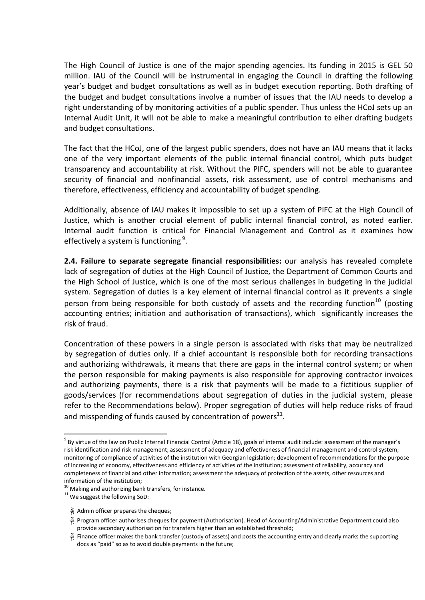The High Council of Justice is one of the major spending agencies. Its funding in 2015 is GEL 50 million. IAU of the Council will be instrumental in engaging the Council in drafting the following year's budget and budget consultations as well as in budget execution reporting. Both drafting of the budget and budget consultations involve a number of issues that the IAU needs to develop a right understanding of by monitoring activities of a public spender. Thus unless the HCoJ sets up an Internal Audit Unit, it will not be able to make a meaningful contribution to eiher drafting budgets and budget consultations.

The fact that the HCoJ, one of the largest public spenders, does not have an IAU means that it lacks one of the very important elements of the public internal financial control, which puts budget transparency and accountability at risk. Without the PIFC, spenders will not be able to guarantee security of financial and nonfinancial assets, risk assessment, use of control mechanisms and therefore, effectiveness, efficiency and accountability of budget spending.

Additionally, absence of IAU makes it impossible to set up a system of PIFC at the High Council of Justice, which is another crucial element of public internal financial control, as noted earlier. Internal audit function is critical for Financial Management and Control as it examines how effectively a system is functioning<sup>9</sup>.

**2.4. Failure to separate segregate financial responsibilities:** our analysis has revealed complete lack of segregation of duties at the High Council of Justice, the Department of Common Courts and the High School of Justice, which is one of the most serious challenges in budgeting in the judicial system. Segregation of duties is a key element of internal financial control as it prevents a single person from being responsible for both custody of assets and the recording function<sup>10</sup> (posting accounting entries; initiation and authorisation of transactions), which significantly increases the risk of fraud.

Concentration of these powers in a single person is associated with risks that may be neutralized by segregation of duties only. If a chief accountant is responsible both for recording transactions and authorizing withdrawals, it means that there are gaps in the internal control system; or when the person responsible for making payments is also responsible for approving contractor invoices and authorizing payments, there is a risk that payments will be made to a fictitious supplier of goods/services (for recommendations about segregation of duties in the judicial system, please refer to the Recommendations below). Proper segregation of duties will help reduce risks of fraud and misspending of funds caused by concentration of powers $^{11}$ .

<sup>&</sup>lt;sup>9</sup> By virtue of the law on Public Internal Financial Control (Article 18), goals of internal audit include: assessment of the manager's risk identification and risk management; assessment of adequacy and effectiveness of financial management and control system; monitoring of compliance of activities of the institution with Georgian legislation; development of recommendationsfor the purpose of increasing of economy, effectiveness and efficiency of activities of the institution; assessment of reliability, accuracy and completeness of financial and other information; assessment the adequacy of protection of the assets, other resources and information of the institution;

<sup>&</sup>lt;sup>10</sup> Making and authorizing bank transfers, for instance.

<sup>&</sup>lt;sup>11</sup> We suggest the following SoD:

 $\frac{36}{91}$  Admin officer prepares the cheques;

Program officer authorises cheques for payment (Authorisation). Head of Accounting/Administrative Department could also provide secondary authorisation for transfers higher than an established threshold;

**if** Finance officer makes the bank transfer (custody of assets) and posts the accounting entry and clearly marks the supporting docs as "paid" so as to avoid double payments in the future;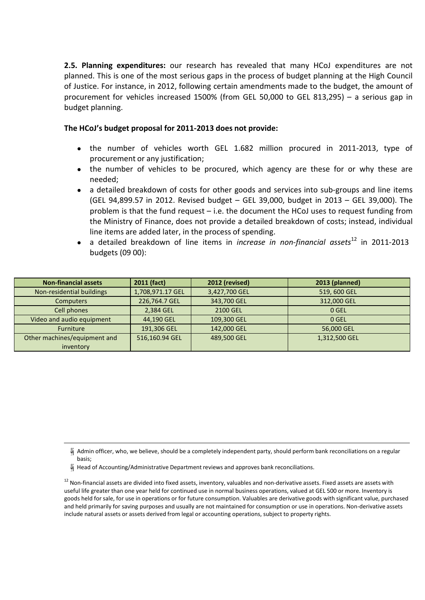**2.5. Planning expenditures:** our research has revealed that many HCoJ expenditures are not planned. This is one of the most serious gaps in the process of budget planning at the High Council of Justice. For instance, in 2012, following certain amendments made to the budget, the amount of procurement for vehicles increased 1500% (from GEL 50,000 to GEL 813,295) – a serious gap in budget planning.

#### **The HCoJ's budget proposal for 2011-2013 does not provide:**

- the number of vehicles worth GEL 1.682 million procured in 2011-2013, type of procurement or any justification;
- the number of vehicles to be procured, which agency are these for or why these are needed;
- a detailed breakdown of costs for other goods and services into sub-groups and line items (GEL 94,899.57 in 2012. Revised budget – GEL 39,000, budget in 2013 – GEL 39,000). The problem is that the fund request – i.e. the document the HCoJ uses to request funding from the Ministry of Finance, does not provide a detailed breakdown of costs; instead, individual line items are added later, in the process of spending.
- a detailed breakdown of line items in *increase in non-financial assets*<sup>12</sup> in 2011-2013 budgets (09 00):

| <b>Non-financial assets</b>  | 2011 (fact)      | 2012 (revised) | 2013 (planned) |
|------------------------------|------------------|----------------|----------------|
| Non-residential buildings    | 1,708,971.17 GEL | 3,427,700 GEL  | 519, 600 GEL   |
| <b>Computers</b>             | 226,764.7 GEL    | 343,700 GEL    | 312,000 GEL    |
| Cell phones                  | 2,384 GEL        | 2100 GEL       | 0 GEL          |
| Video and audio equipment    | 44,190 GEL       | 109,300 GEL    | 0 GEL          |
| <b>Furniture</b>             | 191,306 GEL      | 142,000 GEL    | 56,000 GEL     |
| Other machines/equipment and | 516,160.94 GEL   | 489,500 GEL    | 1,312,500 GEL  |
| inventory                    |                  |                |                |

Head of Accounting/Administrative Department reviews and approves bank reconciliations.

Admin officer, who, we believe, should be a completely independent party, should perform bank reconciliations on a regular basis;

<sup>&</sup>lt;sup>12</sup> Non-financial assets are divided into fixed assets, inventory, valuables and non-derivative assets. Fixed assets are assets with useful life greater than one year held for continued use in normal business operations, valued at GEL 500 or more. Inventory is goods held for sale, for use in operations or for future consumption. Valuables are derivative goods with significant value, purchased and held primarily for saving purposes and usually are not maintained for consumption or use in operations. Non-derivative assets include natural assets or assets derived from legal or accounting operations, subject to property rights.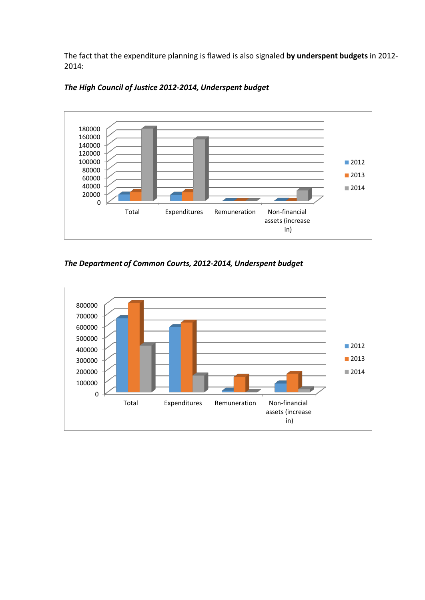The fact that the expenditure planning is flawed is also signaled **by underspent budgets** in 2012- 2014:





*The Department of Common Courts, 2012-2014, Underspent budget*

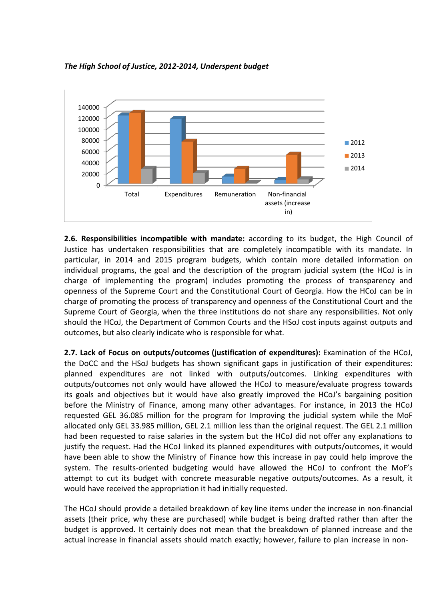

### *The High School of Justice, 2012-2014, Underspent budget*

**2.6. Responsibilities incompatible with mandate:** according to its budget, the High Council of Justice has undertaken responsibilities that are completely incompatible with its mandate. In particular, in 2014 and 2015 program budgets, which contain more detailed information on individual programs, the goal and the description of the program judicial system (the HCoJ is in charge of implementing the program) includes promoting the process of transparency and openness of the Supreme Court and the Constitutional Court of Georgia. How the HCoJ can be in charge of promoting the process of transparency and openness of the Constitutional Court and the Supreme Court of Georgia, when the three institutions do not share any responsibilities. Not only should the HCoJ, the Department of Common Courts and the HSoJ cost inputs against outputs and outcomes, but also clearly indicate who is responsible for what.

**2.7. Lack of Focus on outputs/outcomes (justification of expenditures):** Examination of the HCoJ, the DoCC and the HSoJ budgets has shown significant gaps in justification of their expenditures: planned expenditures are not linked with outputs/outcomes. Linking expenditures with outputs/outcomes not only would have allowed the HCoJ to measure/evaluate progress towards its goals and objectives but it would have also greatly improved the HCoJ's bargaining position before the Ministry of Finance, among many other advantages. For instance, in 2013 the HCoJ requested GEL 36.085 million for the program for Improving the judicial system while the MoF allocated only GEL 33.985 million, GEL 2.1 million less than the original request. The GEL 2.1 million had been requested to raise salaries in the system but the HCoJ did not offer any explanations to justify the request. Had the HCoJ linked its planned expenditures with outputs/outcomes, it would have been able to show the Ministry of Finance how this increase in pay could help improve the system. The results-oriented budgeting would have allowed the HCoJ to confront the MoF's attempt to cut its budget with concrete measurable negative outputs/outcomes. As a result, it would have received the appropriation it had initially requested.

The HCoJ should provide a detailed breakdown of key line items under the increase in non-financial assets (their price, why these are purchased) while budget is being drafted rather than after the budget is approved. It certainly does not mean that the breakdown of planned increase and the actual increase in financial assets should match exactly; however, failure to plan increase in non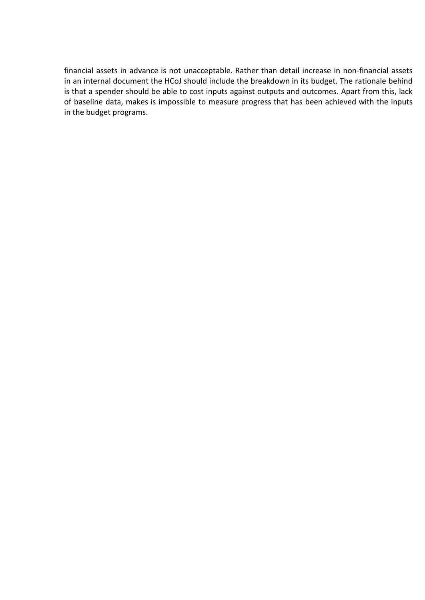financial assets in advance is not unacceptable. Rather than detail increase in non-financial assets in an internal document the HCoJ should include the breakdown in its budget. The rationale behind is that a spender should be able to cost inputs against outputs and outcomes. Apart from this, lack of baseline data, makes is impossible to measure progress that has been achieved with the inputs in the budget programs.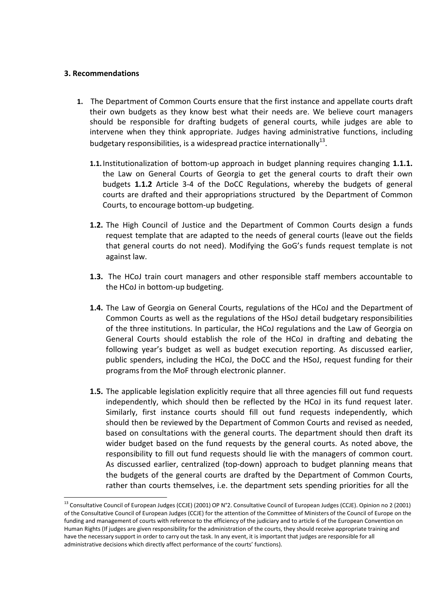## **3. Recommendations**

- **1.** The Department of Common Courts ensure that the first instance and appellate courts draft their own budgets as they know best what their needs are. We believe court managers should be responsible for drafting budgets of general courts, while judges are able to intervene when they think appropriate. Judges having administrative functions, including budgetary responsibilities, is a widespread practice internationally $^{13}$ .
	- **1.1.** Institutionalization of bottom-up approach in budget planning requires changing **1.1.1.**  the Law on General Courts of Georgia to get the general courts to draft their own budgets **1.1.2** Article 3-4 of the DoCC Regulations, whereby the budgets of general courts are drafted and their appropriations structured by the Department of Common Courts, to encourage bottom-up budgeting.
	- **1.2.** The High Council of Justice and the Department of Common Courts design a funds request template that are adapted to the needs of general courts (leave out the fields that general courts do not need). Modifying the GoG's funds request template is not against law.
	- **1.3.** The HCoJ train court managers and other responsible staff members accountable to the HCoJ in bottom-up budgeting.
	- **1.4.** The Law of Georgia on General Courts, regulations of the HCoJ and the Department of Common Courts as well as the regulations of the HSoJ detail budgetary responsibilities of the three institutions. In particular, the HCoJ regulations and the Law of Georgia on General Courts should establish the role of the HCoJ in drafting and debating the following year's budget as well as budget execution reporting. As discussed earlier, public spenders, including the HCoJ, the DoCC and the HSoJ, request funding for their programs from the MoF through electronic planner.
	- **1.5.** The applicable legislation explicitly require that all three agencies fill out fund requests independently, which should then be reflected by the HCoJ in its fund request later. Similarly, first instance courts should fill out fund requests independently, which should then be reviewed by the Department of Common Courts and revised as needed, based on consultations with the general courts. The department should then draft its wider budget based on the fund requests by the general courts. As noted above, the responsibility to fill out fund requests should lie with the managers of common court. As discussed earlier, centralized (top-down) approach to budget planning means that the budgets of the general courts are drafted by the Department of Common Courts, rather than courts themselves, i.e. the department sets spending priorities for all the

<sup>13</sup> Consultative Council of European Judges (CCJE) (2001) OP N°2. Consultative Council of European Judges (CCJE). Opinion no 2 (2001) of the Consultative Council of European Judges (CCJE) for the attention of the Committee of Ministers of the Council of Europe on the funding and management of courts with reference to the efficiency of the judiciary and to article 6 of the European Convention on Human Rights (If judges are given responsibility for the administration of the courts, they should receive appropriate training and have the necessary support in order to carry out the task. In any event, it is important that judges are responsible for all administrative decisions which directly affect performance of the courts' functions).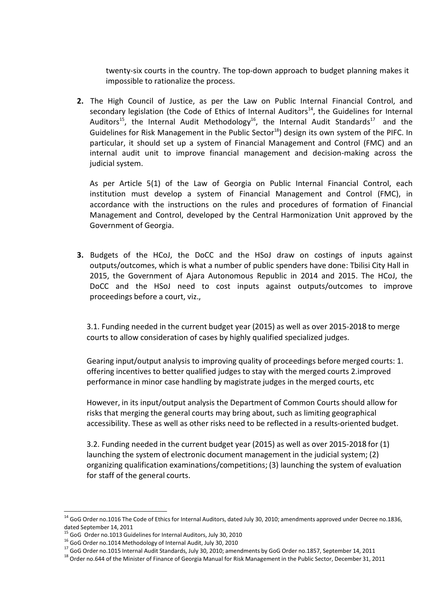twenty-six courts in the country. The top-down approach to budget planning makes it impossible to rationalize the process.

**2.** The High Council of Justice, as per the Law on Public Internal Financial Control, and secondary legislation (the Code of Ethics of Internal Auditors<sup>14</sup>, the Guidelines for Internal Auditors<sup>15</sup>, the Internal Audit Methodology<sup>16</sup>, the Internal Audit Standards<sup>17</sup> and the Guidelines for Risk Management in the Public Sector<sup>18</sup>) design its own system of the PIFC. In particular, it should set up a system of Financial Management and Control (FMC) and an internal audit unit to improve financial management and decision-making across the judicial system.

As per Article 5(1) of the Law of Georgia on Public Internal Financial Control, each institution must develop a system of Financial Management and Control (FMC), in accordance with the instructions on the rules and procedures of formation of Financial Management and Control, developed by the Central Harmonization Unit approved by the Government of Georgia.

**3.** Budgets of the HCoJ, the DoCC and the HSoJ draw on costings of inputs against outputs/outcomes, which is what a number of public spenders have done: Tbilisi City Hall in 2015, the Government of Ajara Autonomous Republic in 2014 and 2015. The HCoJ, the DoCC and the HSoJ need to cost inputs against outputs/outcomes to improv[e](https://en.wikipedia.org/wiki/Legal_proceeding) [proceed](https://en.wikipedia.org/wiki/Legal_proceeding)ings before [a court,](https://en.wikipedia.org/wiki/Court) viz.,

3.1. Funding needed in the current budget year (2015) as well as over 2015-2018 to merge courts to allow consideration of cases by highly qualified specialized judges.

Gearing input/output analysis to improving quality of proceedings before merged courts: 1. offering incentives to better qualified judges to stay with the merged courts 2.improved performance in minor case handling by magistrate judges in the merged courts, etc

However, in its input/output analysis the Department of Common Courts should allow for risks that merging the general courts may bring about, such as limiting geographical accessibility. These as well as other risks need to be reflected in a results-oriented budget.

3.2. Funding needed in the current budget year (2015) as well as over 2015-2018 for (1) launching the system of electronic document management in the judicial system; (2) organizing qualification examinations/competitions; (3) launching the system of evaluation for staff of the general courts.

<sup>&</sup>lt;sup>14</sup> GoG Order no.1016 The Code of Ethics for Internal Auditors, dated July 30, 2010; amendments approved under Decree no.1836, dated September 14, 2011

<sup>&</sup>lt;sup>15</sup> GoG Order no.1013 Guidelines for Internal Auditors, July 30, 2010

<sup>16</sup> GoG Order no.1014 Methodology of Internal Audit, July 30, 2010

<sup>&</sup>lt;sup>17</sup> GoG Order no.1015 Internal Audit Standards, July 30, 2010; amendments by GoG Order no.1857, September 14, 2011

<sup>&</sup>lt;sup>18</sup> Order no.644 of the Minister of Finance of Georgia Manual for Risk Management in the Public Sector, December 31, 2011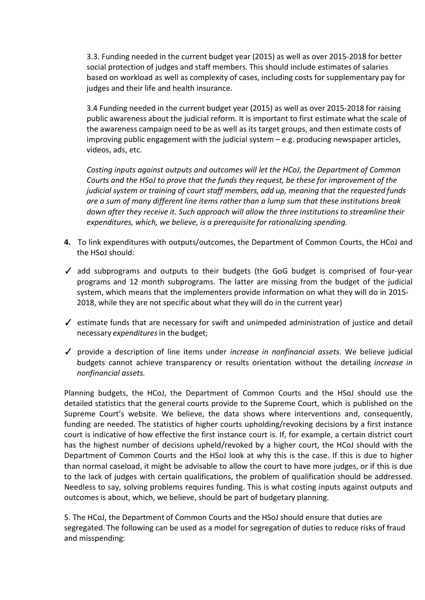3.3. Funding needed in the current budget year (2015) as well as over 2015-2018 for better social protection of judges and staff members. This should include estimates of salaries based on workload as well as complexity of cases, including costs for supplementary pay for judges and their life and health insurance.

3.4 Funding needed in the current budget year (2015) as well as over 2015-2018 for raising public awareness about the judicial reform. It is important to first estimate what the scale of the awareness campaign need to be as well as its target groups, and then estimate costs of improving public engagement with the judicial system – e.g. producing newspaper articles, videos, ads, etc.

*Costing inputs against outputs and outcomes will let the HCoJ, the Department of Common Courts and the HSoJ to prove that the funds they request, be these for improvement of the judicial system or training of court staff members, add up, meaning that the requested funds are a sum of many different line items rather than a lump sum that these institutions break down after they receive it. Such approach will allow the three institutions to streamline their expenditures, which, we believe, is a prerequisite for rationalizing spending.*

- **4.** To link expenditures with outputs/outcomes, the Department of Common Courts, the HCoJ and the HSoJ should:
- $\checkmark$  add subprograms and outputs to their budgets (the GoG budget is comprised of four-year programs and 12 month subprograms. The latter are missing from the budget of the judicial system, which means that the implementers provide information on what they will do in 2015- 2018, while they are not specific about what they will do in the current year)
- ✓ estimate funds that are necessary for swift and unimpeded administration of justice and detail necessary *expenditures*in the budget;
- ✓ provide a description of line items under *increase in nonfinancial assets*. We believe judicial budgets cannot achieve transparency or results orientation without the detailing *increase in nonfinancial assets.*

Planning budgets, the HCoJ, the Department of Common Courts and the HSoJ should use the detailed statistics that the general courts provide to the Supreme Court, which is published on the Supreme Court's website. We believe, the data shows where interventions and, consequently, funding are needed. The statistics of higher courts upholding/revoking decisions by a first instance court is indicative of how effective the first instance court is. If, for example, a certain district court has the highest number of decisions upheld/revoked by a higher court, the HCoJ should with the Department of Common Courts and the HSoJ look at why this is the case. If this is due to higher than normal caseload, it might be advisable to allow the court to have more judges, or if this is due to the lack of judges with certain qualifications, the problem of qualification should be addressed. Needless to say, solving problems requires funding. This is what costing inputs against outputs and outcomes is about, which, we believe, should be part of budgetary planning.

5. The HCoJ, the Department of Common Courts and the HSoJ should ensure that duties are segregated. The following can be used as a model for segregation of duties to reduce risks of fraud and misspending: